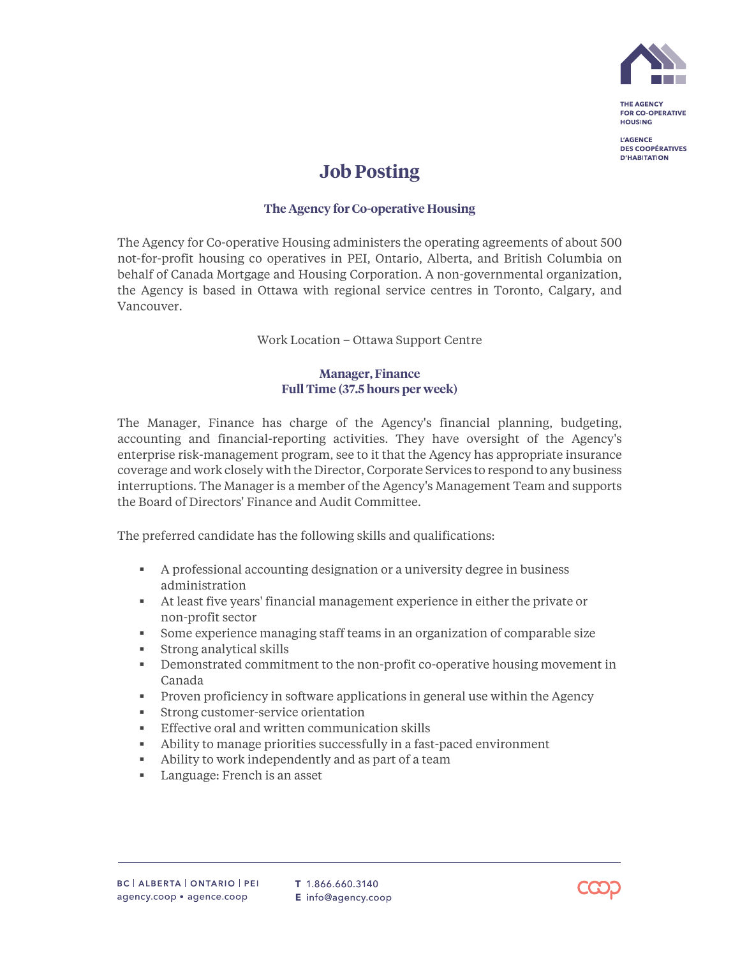

THE AGENCY **FOR CO-OPERATIVE HOUSING** 

**L'AGENCE DES COOPÉRATIVES D'HABITATION** 

## **Job Posting**

## **The Agency for Co-operative Housing**

The Agency for Co-operative Housing administers the operating agreements of about 500 not-for-profit housing co operatives in PEI, Ontario, Alberta, and British Columbia on behalf of Canada Mortgage and Housing Corporation. A non-governmental organization, the Agency is based in Ottawa with regional service centres in Toronto, Calgary, and Vancouver.

Work Location – Ottawa Support Centre

## **Manager, Finance Full Time (37.5 hours per week)**

The Manager, Finance has charge of the Agency's financial planning, budgeting, accounting and financial-reporting activities. They have oversight of the Agency's enterprise risk-management program, see to it that the Agency has appropriate insurance coverage and work closely with the Director, Corporate Services to respond to any business interruptions. The Manager is a member of the Agency's Management Team and supports the Board of Directors' Finance and Audit Committee.

The preferred candidate has the following skills and qualifications:

- A professional accounting designation or a university degree in business administration
- At least five years' financial management experience in either the private or non-profit sector
- Some experience managing staff teams in an organization of comparable size
- **Strong analytical skills**
- Demonstrated commitment to the non-profit co-operative housing movement in Canada
- Proven proficiency in software applications in general use within the Agency
- Strong customer-service orientation
- **Effective oral and written communication skills**
- Ability to manage priorities successfully in a fast-paced environment
- Ability to work independently and as part of a team
- **Language: French is an asset**